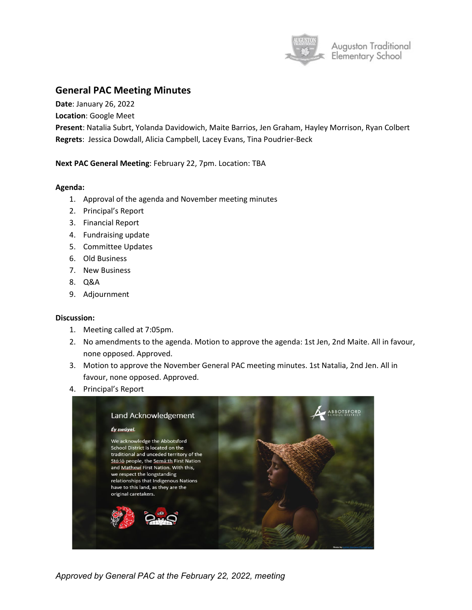

## **General PAC Meeting Minutes**

**Date**: January 26, 2022

**Location**: Google Meet

**Present**: Natalia Subrt, Yolanda Davidowich, Maite Barrios, Jen Graham, Hayley Morrison, Ryan Colbert **Regrets**: Jessica Dowdall, Alicia Campbell, Lacey Evans, Tina Poudrier-Beck

**Next PAC General Meeting**: February 22, 7pm. Location: TBA

## **Agenda:**

- 1. Approval of the agenda and November meeting minutes
- 2. Principal's Report
- 3. Financial Report
- 4. Fundraising update
- 5. Committee Updates
- 6. Old Business
- 7. New Business
- 8. Q&A
- 9. Adjournment

## **Discussion:**

- 1. Meeting called at 7:05pm.
- 2. No amendments to the agenda. Motion to approve the agenda: 1st Jen, 2nd Maite. All in favour, none opposed. Approved.
- 3. Motion to approve the November General PAC meeting minutes. 1st Natalia, 2nd Jen. All in favour, none opposed. Approved.
- 4. Principal's Report



*Approved by General PAC at the February 22, 2022, meeting*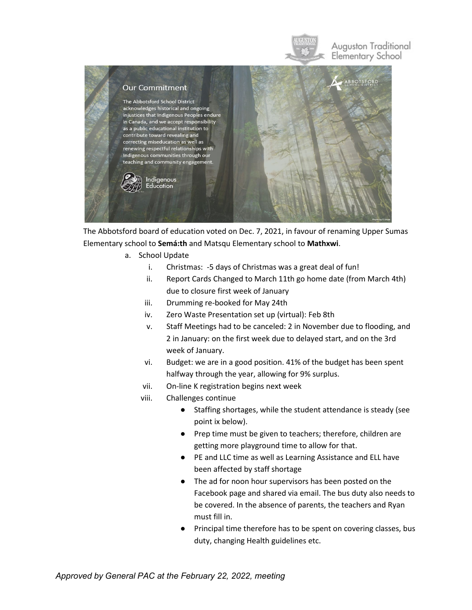

The Abbotsford board of education voted on Dec. 7, 2021, in favour of renaming Upper Sumas Elementary school to **Semá:th** and Matsqu Elementary school to **Mathxwi**.

- a. School Update
	- i. Christmas: -5 days of Christmas was a great deal of fun!
	- ii. Report Cards Changed to March 11th go home date (from March 4th) due to closure first week of January
	- iii. Drumming re-booked for May 24th
	- iv. Zero Waste Presentation set up (virtual): Feb 8th
	- v. Staff Meetings had to be canceled: 2 in November due to flooding, and 2 in January: on the first week due to delayed start, and on the 3rd week of January.
	- vi. Budget: we are in a good position. 41% of the budget has been spent halfway through the year, allowing for 9% surplus.
	- vii. On-line K registration begins next week
	- viii. Challenges continue
		- Staffing shortages, while the student attendance is steady (see point ix below).
		- Prep time must be given to teachers; therefore, children are getting more playground time to allow for that.
		- PE and LLC time as well as Learning Assistance and ELL have been affected by staff shortage
		- The ad for noon hour supervisors has been posted on the Facebook page and shared via email. The bus duty also needs to be covered. In the absence of parents, the teachers and Ryan must fill in.
		- Principal time therefore has to be spent on covering classes, bus duty, changing Health guidelines etc.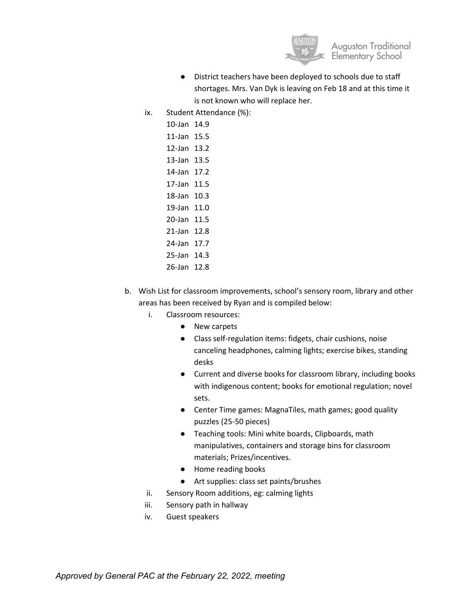

- District teachers have been deployed to schools due to staff shortages. Mrs. Van Dyk is leaving on Feb 18 and at this time it is not known who will replace her.
- ix. Student Attendance (%):
	- 10-Jan 14.9 11-Jan 15.5
	- 12-Jan 13.2
	- 13-Jan 13.5
	- 14-Jan 17.2
	- 17-Jan 11.5
	- 18-Jan 10.3
	- 19-Jan 11.0
	- 20-Jan 11.5 21-Jan 12.8
	- 24-Jan 17.7
	- 25-Jan 14.3
	- 26-Jan 12.8
- b. Wish List for classroom improvements, school's sensory room, library and other areas has been received by Ryan and is compiled below:
	- i. Classroom resources:
		- New carpets
		- Class self-regulation items: fidgets, chair cushions, noise canceling headphones, calming lights; exercise bikes, standing desks
		- Current and diverse books for classroom library, including books with indigenous content; books for emotional regulation; novel sets.
		- Center Time games: MagnaTiles, math games; good quality puzzles (25-50 pieces)
		- Teaching tools: Mini white boards, Clipboards, math manipulatives, containers and storage bins for classroom materials; Prizes/incentives.
		- Home reading books
		- Art supplies: class set paints/brushes
	- ii. Sensory Room additions, eg: calming lights
	- iii. Sensory path in hallway
	- iv. Guest speakers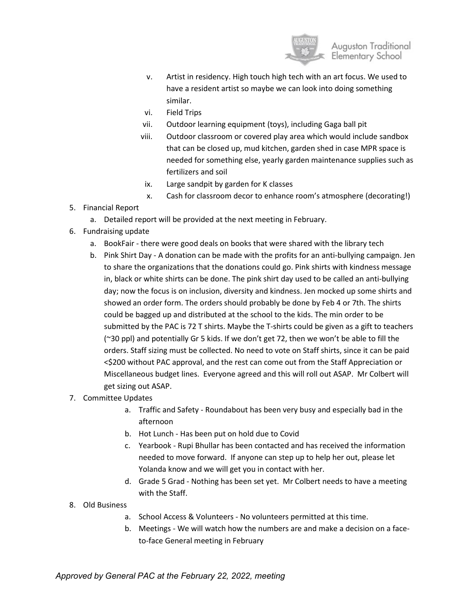

- v. Artist in residency. High touch high tech with an art focus. We used to have a resident artist so maybe we can look into doing something similar.
- vi. Field Trips
- vii. Outdoor learning equipment (toys), including Gaga ball pit
- viii. Outdoor classroom or covered play area which would include sandbox that can be closed up, mud kitchen, garden shed in case MPR space is needed for something else, yearly garden maintenance supplies such as fertilizers and soil
- ix. Large sandpit by garden for K classes
- x. Cash for classroom decor to enhance room's atmosphere (decorating!)
- 5. Financial Report
	- a. Detailed report will be provided at the next meeting in February.
- 6. Fundraising update
	- a. BookFair there were good deals on books that were shared with the library tech
	- b. Pink Shirt Day A donation can be made with the profits for an anti-bullying campaign. Jen to share the organizations that the donations could go. Pink shirts with kindness message in, black or white shirts can be done. The pink shirt day used to be called an anti-bullying day; now the focus is on inclusion, diversity and kindness. Jen mocked up some shirts and showed an order form. The orders should probably be done by Feb 4 or 7th. The shirts could be bagged up and distributed at the school to the kids. The min order to be submitted by the PAC is 72 T shirts. Maybe the T-shirts could be given as a gift to teachers (~30 ppl) and potentially Gr 5 kids. If we don't get 72, then we won't be able to fill the orders. Staff sizing must be collected. No need to vote on Staff shirts, since it can be paid <\$200 without PAC approval, and the rest can come out from the Staff Appreciation or Miscellaneous budget lines. Everyone agreed and this will roll out ASAP. Mr Colbert will get sizing out ASAP.
- 7. Committee Updates
	- a. Traffic and Safety Roundabout has been very busy and especially bad in the afternoon
	- b. Hot Lunch Has been put on hold due to Covid
	- c. Yearbook Rupi Bhullar has been contacted and has received the information needed to move forward. If anyone can step up to help her out, please let Yolanda know and we will get you in contact with her.
	- d. Grade 5 Grad Nothing has been set yet. Mr Colbert needs to have a meeting with the Staff.
- 8. Old Business
	- a. School Access & Volunteers No volunteers permitted at this time.
	- b. Meetings We will watch how the numbers are and make a decision on a faceto-face General meeting in February